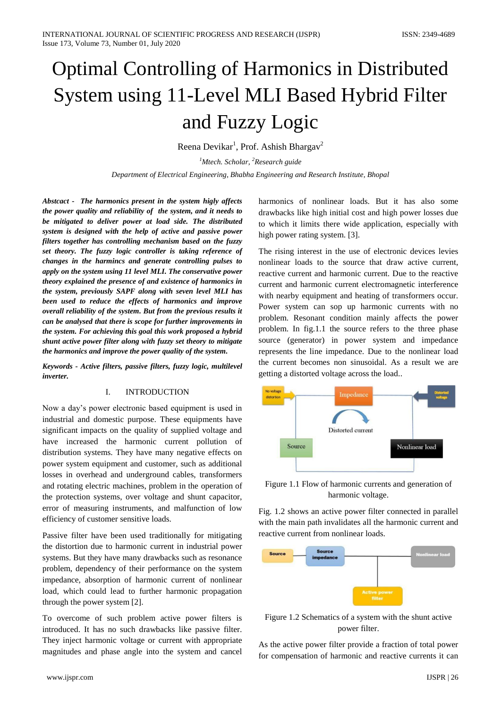# Optimal Controlling of Harmonics in Distributed System using 11-Level MLI Based Hybrid Filter and Fuzzy Logic

Reena Devikar<sup>1</sup>, Prof. Ashish Bhargav<sup>2</sup>

*<sup>1</sup>Mtech. Scholar, <sup>2</sup>Research guide Department of Electrical Engineering, Bhabha Engineering and Research Institute, Bhopal*

*Abstcact - The harmonics present in the system higly affects the power quality and reliability of the system, and it needs to be mitigated to deliver power at load side. The distributed system is designed with the help of active and passive power filters together has controlling mechanism based on the fuzzy set theory. The fuzzy logic controller is taking reference of changes in the harmincs and generate controlling pulses to apply on the system using 11 level MLI. The conservative power theory explained the presence of and existence of harmonics in the system, previously SAPF along with seven level MLI has been used to reduce the effects of harmonics and improve overall reliability of the system. But from the previous results it can be analysed that there is scope for further improvements in the system. For achieving this goal this work proposed a hybrid shunt active power filter along with fuzzy set theory to mitigate the harmonics and improve the power quality of the system.*

*Keywords - Active filters, passive filters, fuzzy logic, multilevel inverter.*

### I. INTRODUCTION

Now a day's power electronic based equipment is used in industrial and domestic purpose. These equipments have significant impacts on the quality of supplied voltage and have increased the harmonic current pollution of distribution systems. They have many negative effects on power system equipment and customer, such as additional losses in overhead and underground cables, transformers and rotating electric machines, problem in the operation of the protection systems, over voltage and shunt capacitor, error of measuring instruments, and malfunction of low efficiency of customer sensitive loads.

Passive filter have been used traditionally for mitigating the distortion due to harmonic current in industrial power systems. But they have many drawbacks such as resonance problem, dependency of their performance on the system impedance, absorption of harmonic current of nonlinear load, which could lead to further harmonic propagation through the power system [2].

To overcome of such problem active power filters is introduced. It has no such drawbacks like passive filter. They inject harmonic voltage or current with appropriate magnitudes and phase angle into the system and cancel harmonics of nonlinear loads. But it has also some drawbacks like high initial cost and high power losses due to which it limits there wide application, especially with high power rating system. [3].

The rising interest in the use of electronic devices levies nonlinear loads to the source that draw active current, reactive current and harmonic current. Due to the reactive current and harmonic current electromagnetic interference with nearby equipment and heating of transformers occur. Power system can sop up harmonic currents with no problem. Resonant condition mainly affects the power problem. In fig.1.1 the source refers to the three phase source (generator) in power system and impedance represents the line impedance. Due to the nonlinear load the current becomes non sinusoidal. As a result we are getting a distorted voltage across the load..



Figure 1.1 Flow of harmonic currents and generation of harmonic voltage.

Fig. 1.2 shows an active power filter connected in parallel with the main path invalidates all the harmonic current and reactive current from nonlinear loads.



Figure 1.2 Schematics of a system with the shunt active power filter.

As the active power filter provide a fraction of total power for compensation of harmonic and reactive currents it can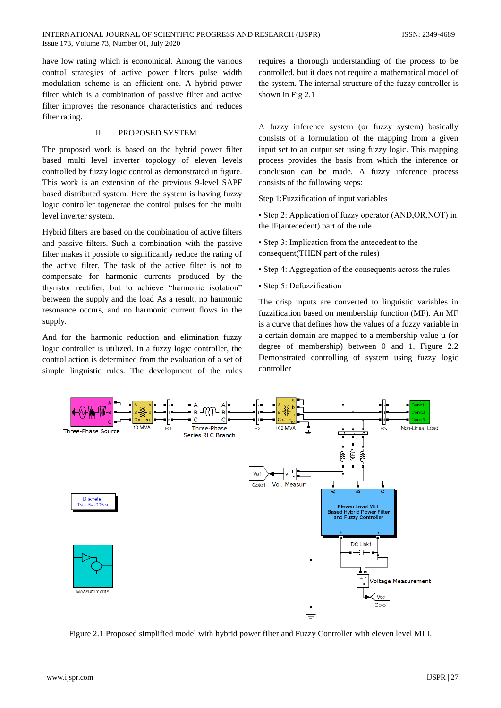have low rating which is economical. Among the various control strategies of active power filters pulse width modulation scheme is an efficient one. A hybrid power filter which is a combination of passive filter and active filter improves the resonance characteristics and reduces filter rating.

# II. PROPOSED SYSTEM

The proposed work is based on the hybrid power filter based multi level inverter topology of eleven levels controlled by fuzzy logic control as demonstrated in figure. This work is an extension of the previous 9-level SAPF based distributed system. Here the system is having fuzzy logic controller togenerae the control pulses for the multi level inverter system.

Hybrid filters are based on the combination of active filters and passive filters. Such a combination with the passive filter makes it possible to significantly reduce the rating of the active filter. The task of the active filter is not to compensate for harmonic currents produced by the thyristor rectifier, but to achieve "harmonic isolation" between the supply and the load As a result, no harmonic resonance occurs, and no harmonic current flows in the supply.

And for the harmonic reduction and elimination fuzzy logic controller is utilized. In a fuzzy logic controller, the control action is determined from the evaluation of a set of simple linguistic rules. The development of the rules

requires a thorough understanding of the process to be controlled, but it does not require a mathematical model of the system. The internal structure of the fuzzy controller is shown in Fig 2.1

A fuzzy inference system (or fuzzy system) basically consists of a formulation of the mapping from a given input set to an output set using fuzzy logic. This mapping process provides the basis from which the inference or conclusion can be made. A fuzzy inference process consists of the following steps:

Step 1:Fuzzification of input variables

• Step 2: Application of fuzzy operator (AND,OR,NOT) in the IF(antecedent) part of the rule

• Step 3: Implication from the antecedent to the consequent(THEN part of the rules)

• Step 4: Aggregation of the consequents across the rules

• Step 5: Defuzzification

The crisp inputs are converted to linguistic variables in fuzzification based on membership function (MF). An MF is a curve that defines how the values of a fuzzy variable in a certain domain are mapped to a membership value  $\mu$  (or degree of membership) between 0 and 1. Figure 2.2 Demonstrated controlling of system using fuzzy logic controller



Figure 2.1 Proposed simplified model with hybrid power filter and Fuzzy Controller with eleven level MLI.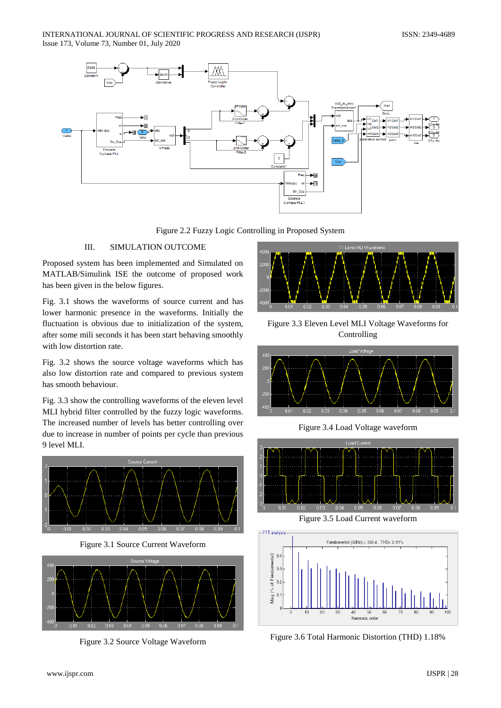

Figure 2.2 Fuzzy Logic Controlling in Proposed System

# III. SIMULATION OUTCOME

Proposed system has been implemented and Simulated on MATLAB/Simulink ISE the outcome of proposed work has been given in the below figures.

Fig. 3.1 shows the waveforms of source current and has lower harmonic presence in the waveforms. Initially the fluctuation is obvious due to initialization of the system, after some mili seconds it has been start behaving smoothly with low distortion rate.

Fig. 3.2 shows the source voltage waveforms which has also low distortion rate and compared to previous system has smooth behaviour.

Fig. 3.3 show the controlling waveforms of the eleven level MLI hybrid filter controlled by the fuzzy logic waveforms. The increased number of levels has better controlling over due to increase in number of points per cycle than previous 9 level MLI.



Figure 3.1 Source Current Waveform



Figure 3.2 Source Voltage Waveform



Figure 3.3 Eleven Level MLI Voltage Waveforms for Controlling



Figure 3.4 Load Voltage waveform



Figure 3.5 Load Current waveform



Figure 3.6 Total Harmonic Distortion (THD) 1.18%